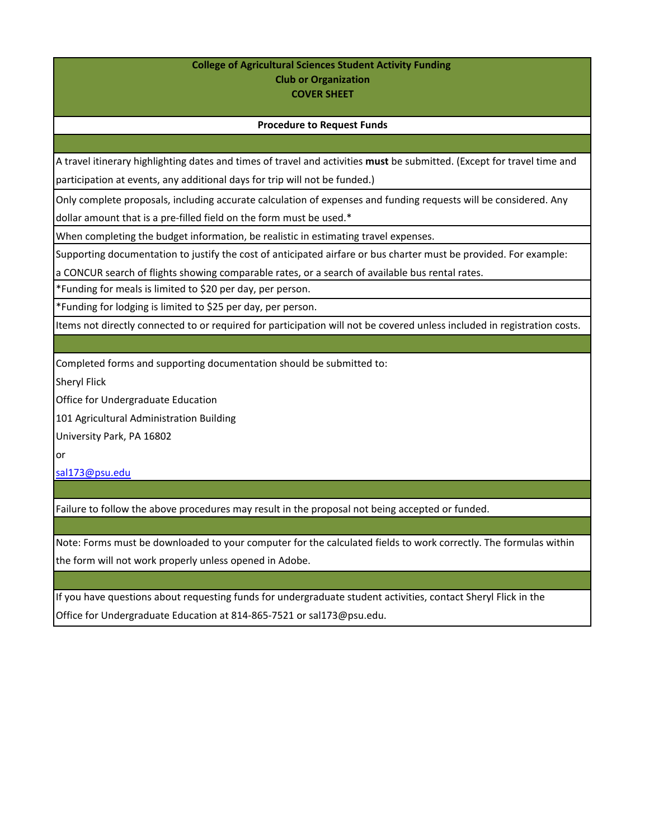## **College of Agricultural Sciences Student Activity Funding Club or Organization COVER SHEET**

## **Procedure to Request Funds**

A travel itinerary highlighting dates and times of travel and activities **must** be submitted. (Except for travel time and participation at events, any additional days for trip will not be funded.)

Only complete proposals, including accurate calculation of expenses and funding requests will be considered. Any

dollar amount that is a pre-filled field on the form must be used.\*

When completing the budget information, be realistic in estimating travel expenses.

Supporting documentation to justify the cost of anticipated airfare or bus charter must be provided. For example:

a CONCUR search of flights showing comparable rates, or a search of available bus rental rates.

\*Funding for meals is limited to \$20 per day, per person.

\*Funding for lodging is limited to \$25 per day, per person.

Items not directly connected to or required for participation will not be covered unless included in registration costs.

Completed forms and supporting documentation should be submitted to:

Sheryl Flick

Office for Undergraduate Education

101 Agricultural Administration Building

University Park, PA 16802

or

[sal173@psu.edu](mailto:sal173@psu.edu)

Failure to follow the above procedures may result in the proposal not being accepted or funded.

Note: Forms must be downloaded to your computer for the calculated fields to work correctly. The formulas within the form will not work properly unless opened in Adobe.

If you have questions about requesting funds for undergraduate student activities, contact Sheryl Flick in the Office for Undergraduate Education at 814-865-7521 or sal173@psu.edu.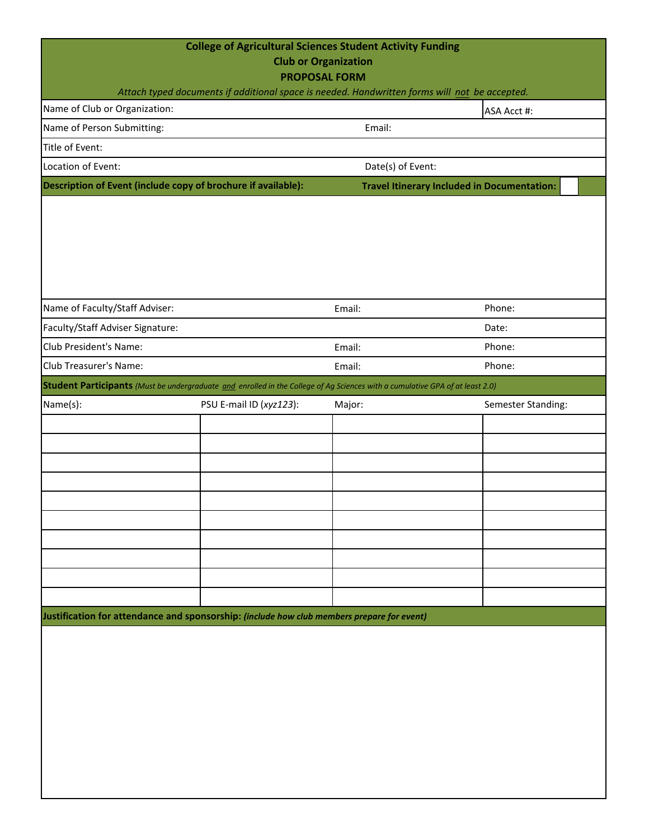| <b>College of Agricultural Sciences Student Activity Funding</b><br><b>Club or Organization</b><br><b>PROPOSAL FORM</b><br>Attach typed documents if additional space is needed. Handwritten forms will not be accepted. |                         |                                                    |                    |  |  |  |  |  |
|--------------------------------------------------------------------------------------------------------------------------------------------------------------------------------------------------------------------------|-------------------------|----------------------------------------------------|--------------------|--|--|--|--|--|
| Name of Club or Organization:                                                                                                                                                                                            |                         |                                                    | ASA Acct #:        |  |  |  |  |  |
| Name of Person Submitting:                                                                                                                                                                                               |                         | Email:                                             |                    |  |  |  |  |  |
| Title of Event:                                                                                                                                                                                                          |                         |                                                    |                    |  |  |  |  |  |
| Location of Event:                                                                                                                                                                                                       |                         | Date(s) of Event:                                  |                    |  |  |  |  |  |
| Description of Event (include copy of brochure if available):                                                                                                                                                            |                         | <b>Travel Itinerary Included in Documentation:</b> |                    |  |  |  |  |  |
|                                                                                                                                                                                                                          |                         |                                                    |                    |  |  |  |  |  |
| Name of Faculty/Staff Adviser:                                                                                                                                                                                           |                         | Email:                                             | Phone:             |  |  |  |  |  |
| Faculty/Staff Adviser Signature:                                                                                                                                                                                         |                         |                                                    | Date:              |  |  |  |  |  |
| Club President's Name:                                                                                                                                                                                                   |                         | Email:                                             | Phone:             |  |  |  |  |  |
| Club Treasurer's Name:                                                                                                                                                                                                   |                         | Email:                                             | Phone:             |  |  |  |  |  |
| <b>Student Participants</b> (Must be undergraduate and enrolled in the College of Ag Sciences with a cumulative GPA of at least 2.0)                                                                                     |                         |                                                    |                    |  |  |  |  |  |
| Name(s):                                                                                                                                                                                                                 | PSU E-mail ID (xyz123): | Major:                                             | Semester Standing: |  |  |  |  |  |
|                                                                                                                                                                                                                          |                         |                                                    |                    |  |  |  |  |  |
|                                                                                                                                                                                                                          |                         |                                                    |                    |  |  |  |  |  |
|                                                                                                                                                                                                                          |                         |                                                    |                    |  |  |  |  |  |
|                                                                                                                                                                                                                          |                         |                                                    |                    |  |  |  |  |  |
|                                                                                                                                                                                                                          |                         |                                                    |                    |  |  |  |  |  |
|                                                                                                                                                                                                                          |                         |                                                    |                    |  |  |  |  |  |
|                                                                                                                                                                                                                          |                         |                                                    |                    |  |  |  |  |  |
|                                                                                                                                                                                                                          |                         |                                                    |                    |  |  |  |  |  |
|                                                                                                                                                                                                                          |                         |                                                    |                    |  |  |  |  |  |
| Justification for attendance and sponsorship: (include how club members prepare for event)                                                                                                                               |                         |                                                    |                    |  |  |  |  |  |
|                                                                                                                                                                                                                          |                         |                                                    |                    |  |  |  |  |  |
|                                                                                                                                                                                                                          |                         |                                                    |                    |  |  |  |  |  |